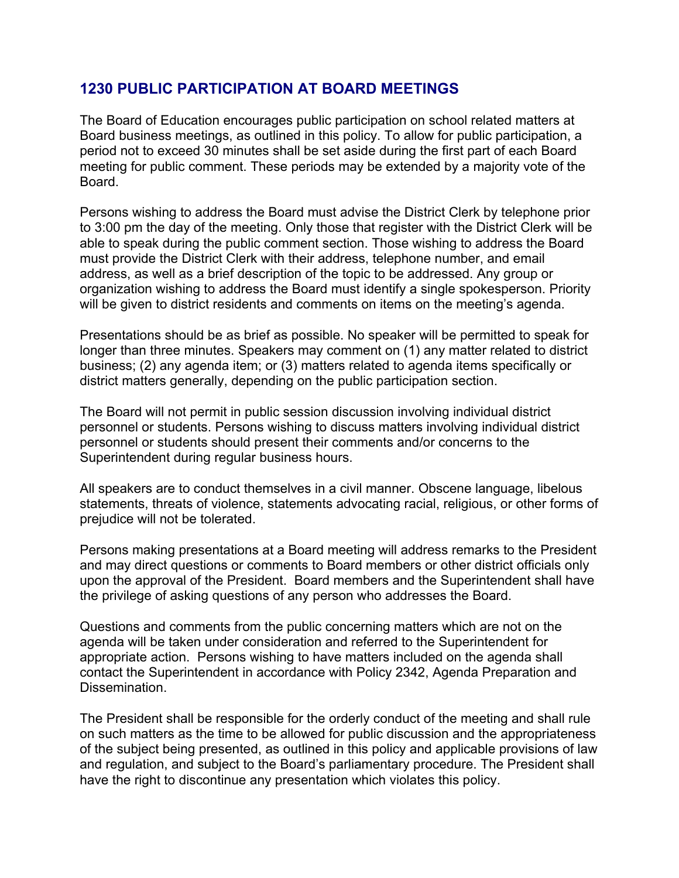## **1230 PUBLIC PARTICIPATION AT BOARD MEETINGS**

The Board of Education encourages public participation on school related matters at Board business meetings, as outlined in this policy. To allow for public participation, a period not to exceed 30 minutes shall be set aside during the first part of each Board meeting for public comment. These periods may be extended by a majority vote of the Board.

Persons wishing to address the Board must advise the District Clerk by telephone prior to 3:00 pm the day of the meeting. Only those that register with the District Clerk will be able to speak during the public comment section. Those wishing to address the Board must provide the District Clerk with their address, telephone number, and email address, as well as a brief description of the topic to be addressed. Any group or organization wishing to address the Board must identify a single spokesperson. Priority will be given to district residents and comments on items on the meeting's agenda.

Presentations should be as brief as possible. No speaker will be permitted to speak for longer than three minutes. Speakers may comment on (1) any matter related to district business; (2) any agenda item; or (3) matters related to agenda items specifically or district matters generally, depending on the public participation section.

The Board will not permit in public session discussion involving individual district personnel or students. Persons wishing to discuss matters involving individual district personnel or students should present their comments and/or concerns to the Superintendent during regular business hours.

All speakers are to conduct themselves in a civil manner. Obscene language, libelous statements, threats of violence, statements advocating racial, religious, or other forms of prejudice will not be tolerated.

Persons making presentations at a Board meeting will address remarks to the President and may direct questions or comments to Board members or other district officials only upon the approval of the President. Board members and the Superintendent shall have the privilege of asking questions of any person who addresses the Board.

Questions and comments from the public concerning matters which are not on the agenda will be taken under consideration and referred to the Superintendent for appropriate action. Persons wishing to have matters included on the agenda shall contact the Superintendent in accordance with Policy 2342, Agenda Preparation and Dissemination.

The President shall be responsible for the orderly conduct of the meeting and shall rule on such matters as the time to be allowed for public discussion and the appropriateness of the subject being presented, as outlined in this policy and applicable provisions of law and regulation, and subject to the Board's parliamentary procedure. The President shall have the right to discontinue any presentation which violates this policy.